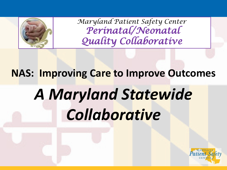

*Maryland Patient Safety Center Perinatal/Neonatal Quality Collaborative*

# **NAS: Improving Care to Improve Outcomes** *A Maryland Statewide Collaborative*

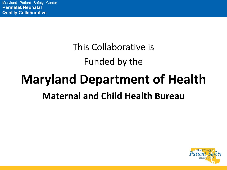### This Collaborative is Funded by the

## **Maryland Department of Health Maternal and Child Health Bureau**

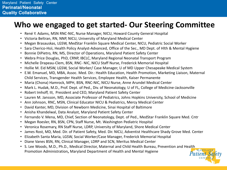#### **Who we engaged to get started- Our Steering Committee**

- René Y. Adams, MSN RNC-NIC, Nurse Manager, NICU, Howard County General Hospital
- Victoria Beltran, RN, NNP, NICU, University of Maryland Medical Center
- Megan Brasauskas, LGSW, MedStar Franklin Square Medical Center, NICU, Pediatric Social Worker
- Sara Cherico-Hsii, Health Policy Analyst-Advanced, Office of the Sec., MD Dept. of Hlth & Mental Hygiene
- Bonnie DiPietro, RN, MS, Director of Operations, Maryland Patient Safety Center
- Webra Price Douglas, PhD, CRNP, IBCLC, Maryland Regional Neonatal Transport Program
- Michelle Drapeau-Clem, BSN, RNC- NIC, NICU Staff Nurse, Frederick Memorial Hospital
- Hollie M. Eid MSW, LGSW, Social Worker/ Case Manager, U of MD Upper Chesapeake Medical System
- E.W. Emanuel, MD, MBA, Assoc. Med. Dir.: Health Education, Health Promotion, Marketing Liaison, Maternal Child Services, Transgender Health Services, Employee Health, Kaiser Permanente
- Maria (Chona) Hamrock, MPH, BSN, RNC-NIC, NICU Nurse, Anne Arundel Medical Center
- Mark L. Hudak, M.D., Prof. Dept. of Ped., Div. of Neonatology, U of FL, College of Medicine-Jacksonville
- Robert Imhoff, III, President and CEO, Maryland Patient Safety Center
- Lauren M. Jansson, MD, Associate Professor of Pediatrics, Johns Hopkins University, School of Medicine
- Ann Johnson, RNC, MSN, Clinical Educator NICU & Pediatrics, Mercy Medical Center
- David Kanter, MD, Division of Newborn Medicine, Sinai Hospital of Baltimore
- Anisha Khandelwal, Data Analyst, Maryland Patient Safety Center
- Fernando V. Mena, MD, Chief, Section of Neonatology, Dept. of Ped., MedStar Franklin Square Med. Cntr
- Megan Roesler, RN, BSN, CPN, Staff Nurse, Mt. Washington Pediatric Hospital
- Veronica Rosemary, RN Staff Nurse, LDRP, University of Maryland, Shore Medical Center
- James Rost, MD, Med. Dir. of Patient Safety, Med. Dir. NICU, Adventist Healthcare Shady Grove Med. Center
- Elizabeth Santa Maria, LGSW, Social Worker/Case Manager, Frederick Memorial Hospital
- Diane Vanes BSN, RN, Clinical Manager, LDRP and SCN, Meritus Medical Center
- S. Lee Woods, M.D., Ph.D., Medical Director, Maternal and Child Health Bureau, Prevention and Health Promotion Administration**,** Maryland Department of Health and Mental Hygiene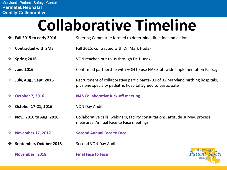# **Collaborative Timeline**

- **Fall 2015 to early 2016** Steering Committee formed to determine direction and actions **Contracted with SME** Fall 2015, contracted with Dr. Mark Hudak **Example 2016** VON reached out to us through Dr. Hudak **June 2016** Confirmed partnership with VON to use NAS Statewide Implementation Package **July, Aug., Sept. 2016** Recruitment of collaborative participants- 31 of 32 Maryland birthing hospitals, plus one specialty pediatric hospital agreed to participate **October 7, 2016 NAS Collaborative Kick-off meeting ↓ October 17-21, 2016** VON Day Audit **Nov., 2016 to Aug. 2018** Collaborative calls, webinars, facility consultations, attitude survey, process measures, Annual Face to Face meetings **November 17, 2017 Second Annual Face to Face September, October 2018** Second VON Day Audit
- 

**November , 2018 Final Face to Face**

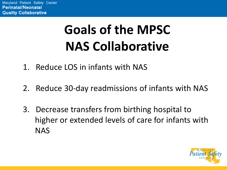## **Goals of the MPSC NAS Collaborative**

- 1. Reduce LOS in infants with NAS
- 2. Reduce 30-day readmissions of infants with NAS
- 3. Decrease transfers from birthing hospital to higher or extended levels of care for infants with NAS

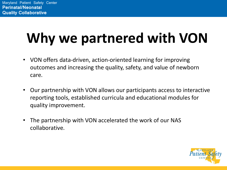## **Why we partnered with VON**

- VON offers data-driven, action-oriented learning for improving outcomes and increasing the quality, safety, and value of newborn care.
- Our partnership with VON allows our participants access to interactive reporting tools, established curricula and educational modules for quality improvement.
- The partnership with VON accelerated the work of our NAS collaborative.

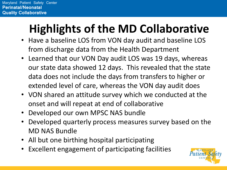## **Highlights of the MD Collaborative**

- Have a baseline LOS from VON day audit and baseline LOS from discharge data from the Health Department
- Learned that our VON Day audit LOS was 19 days, whereas our state data showed 12 days. This revealed that the state data does not include the days from transfers to higher or extended level of care, whereas the VON day audit does
- VON shared an attitude survey which we conducted at the onset and will repeat at end of collaborative
- Developed our own MPSC NAS bundle
- Developed quarterly process measures survey based on the MD NAS Bundle
- All but one birthing hospital participating
- Excellent engagement of participating facilities

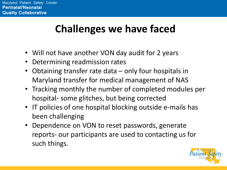### **Challenges we have faced**

- Will not have another VON day audit for 2 years
- Determining readmission rates
- Obtaining transfer rate data only four hospitals in Maryland transfer for medical management of NAS
- Tracking monthly the number of completed modules per hospital- some glitches, but being corrected
- IT policies of one hospital blocking outside e-mails has been challenging
- Dependence on VON to reset passwords, generate reports- our participants are used to contacting us for such things.

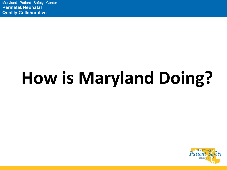# **How is Maryland Doing?**

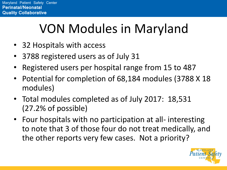## VON Modules in Maryland

- 32 Hospitals with access
- 3788 registered users as of July 31
- Registered users per hospital range from 15 to 487
- Potential for completion of 68,184 modules (3788 X 18 modules)
- Total modules completed as of July 2017: 18,531 (27.2% of possible)
- Four hospitals with no participation at all- interesting to note that 3 of those four do not treat medically, and the other reports very few cases. Not a priority?

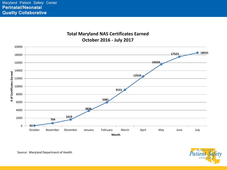#### **Total Maryland NAS Certificates Earned October 2016 - July 2017**





Source: Maryland Department of Health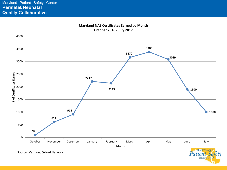



*Patient Sa* CENT

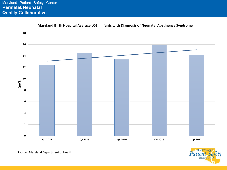

**Maryland Birth Hospital Average LOS , Infants with Diagnosis of Neonatal Abstinence Syndrome**



Source: Maryland Department of Health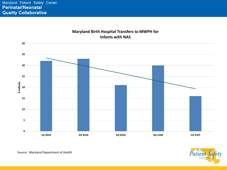

#### **Maryland Birth Hospital Transfers to MWPH for**

MARYLAND *Patient*  $C$ EN

Source: Maryland Department of Health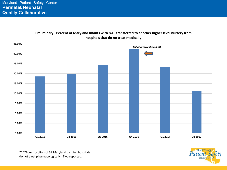

**Preliminary: Percent of Maryland Infants with NAS transferred to another higher level nursery from** 

\*\*\*\*Four hospitals of 32 Maryland birthing hospitals do not treat pharmacologically. Two reported.

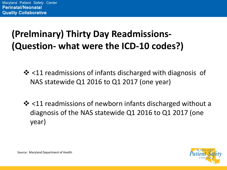#### **(Prelminary) Thirty Day Readmissions- (Question- what were the ICD-10 codes?)**

- ❖ <11 readmissions of infants discharged with diagnosis of NAS statewide Q1 2016 to Q1 2017 (one year)
- $\cdot$  <11 readmissions of newborn infants discharged without a diagnosis of the NAS statewide Q1 2016 to Q1 2017 (one year)

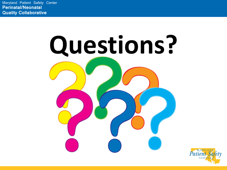Maryland Patient Safety Center **Perinatal/Neonatal Quality Collaborative**